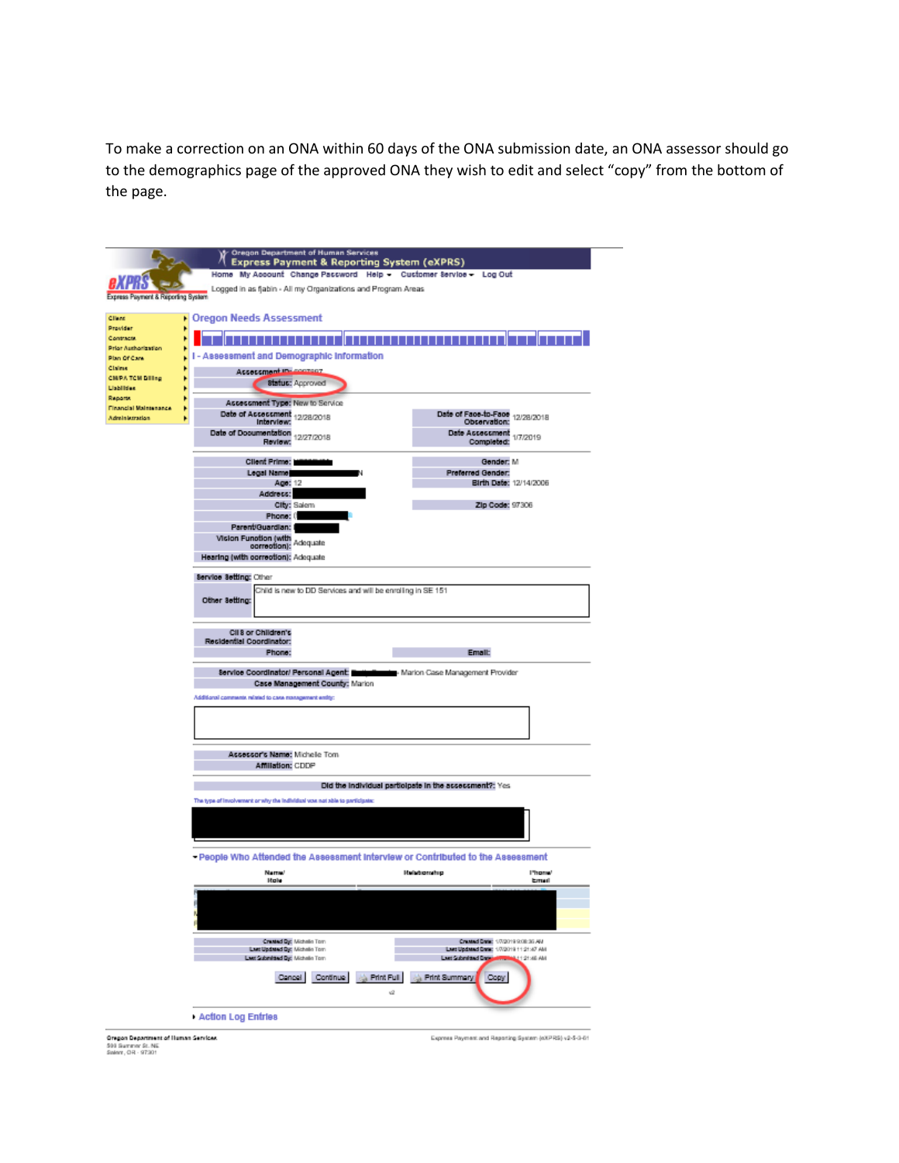To make a correction on an ONA within 60 days of the ONA submission date, an ONA assessor should go to the demographics page of the approved ONA they wish to edit and select "copy" from the bottom of the page.

|                                                                                      | Cregon Department of Human Services<br><b>Express Payment &amp; Reporting System (eXPRS)</b> |                                                        |
|--------------------------------------------------------------------------------------|----------------------------------------------------------------------------------------------|--------------------------------------------------------|
|                                                                                      | Home My Account Change Paccword Help - Cuctomer Service - Log Out                            |                                                        |
| Express Payment & Reporting System                                                   | Logged in as fjabin - All my Organizations and Program Areas                                 |                                                        |
| Client                                                                               | <b>• Oregon Needs Assessment</b>                                                             |                                                        |
| Provider                                                                             |                                                                                              |                                                        |
| Contracts<br>Prior Authorization                                                     |                                                                                              |                                                        |
| Plan Of Care                                                                         | I - Assessment and Demographic Information                                                   |                                                        |
| Claims                                                                               | Assessment Insurance                                                                         |                                                        |
| <b>CHIPATCH Billing</b><br><b>Lisbilities</b>                                        | <b>Status: Approved</b>                                                                      |                                                        |
| <b>Reports</b>                                                                       |                                                                                              |                                                        |
| Financial Maintenance                                                                | Assessment Type: New to Service<br>Date of Acceccment 12/28/2018                             | Date of Face-to-Face 12/28/2018                        |
| Administration                                                                       | Interview:                                                                                   | Observation:                                           |
|                                                                                      | Date of Documentation 12/27/2018<br>Review:                                                  | Date Assessment 1/7/2019<br>Completed:                 |
|                                                                                      |                                                                                              |                                                        |
|                                                                                      | Client Prime:                                                                                | Gender: M                                              |
|                                                                                      | Legal Name                                                                                   | Preferred Gender:                                      |
|                                                                                      | Ago: 12                                                                                      | Birth Date: 12/14/2006                                 |
|                                                                                      | Address:<br>City: Salem                                                                      | Zip Code: 97306                                        |
|                                                                                      | Phone: 0                                                                                     |                                                        |
|                                                                                      | Parent/Guardian: I                                                                           |                                                        |
|                                                                                      | Vision Function (with Adequate                                                               |                                                        |
|                                                                                      | Hearing (with correction): Adequate                                                          |                                                        |
|                                                                                      |                                                                                              |                                                        |
|                                                                                      | Service Setting: Other                                                                       |                                                        |
|                                                                                      | Child is new to DD Services and will be enrolling in SE 151                                  |                                                        |
|                                                                                      | Other Setting:                                                                               |                                                        |
|                                                                                      | Cil 8 or Children's                                                                          |                                                        |
|                                                                                      | Residential Coordinator:                                                                     |                                                        |
|                                                                                      |                                                                                              |                                                        |
|                                                                                      | Phone:                                                                                       | Email:                                                 |
|                                                                                      |                                                                                              |                                                        |
|                                                                                      | Service Coordinator/ Personal Agent:<br>Case Management County: Marion                       | <b>Exercise</b> Marion Case Management Provider        |
|                                                                                      |                                                                                              |                                                        |
|                                                                                      | Additional comments related to case management entity:                                       |                                                        |
|                                                                                      |                                                                                              |                                                        |
|                                                                                      |                                                                                              |                                                        |
|                                                                                      |                                                                                              |                                                        |
|                                                                                      | Assessor's Name: Michele Tom                                                                 |                                                        |
|                                                                                      | Affiliation: CDDP                                                                            |                                                        |
|                                                                                      |                                                                                              | Did the individual participate in the acceccment?: Yes |
|                                                                                      | The type of involvement or why the individual vose not able to participate:                  |                                                        |
|                                                                                      |                                                                                              |                                                        |
|                                                                                      |                                                                                              |                                                        |
|                                                                                      |                                                                                              |                                                        |
|                                                                                      |                                                                                              |                                                        |
|                                                                                      | - People Who Attended the Assessment Interview or Contributed to the Assessment              |                                                        |
|                                                                                      | <b>Name</b><br><b>Hole</b>                                                                   | <b>Halationship</b><br><b>I'mpne</b><br>Email          |
|                                                                                      |                                                                                              |                                                        |
|                                                                                      |                                                                                              |                                                        |
|                                                                                      |                                                                                              |                                                        |
|                                                                                      |                                                                                              |                                                        |
|                                                                                      | <b>Created By: Michalin Tom</b>                                                              | Created Date: 17/2019 9:08:36 AM                       |
|                                                                                      | <b>Last Updated By: Michalle Tom</b>                                                         | Last Updated Date: 1/7/2019 11:21:47 AM                |
|                                                                                      | Last Submitted By: Michelle Tom                                                              | Last Submitted Date<br><b>IMA 88:12:15</b>             |
|                                                                                      | <b>Print Full</b><br>Cancel<br>Continue                                                      | Frint Summary<br>Copy                                  |
|                                                                                      |                                                                                              | v2                                                     |
|                                                                                      |                                                                                              |                                                        |
|                                                                                      | Action Log Entries                                                                           |                                                        |
|                                                                                      |                                                                                              |                                                        |
| <b>Oregon Department of Human Services</b><br>500 Summer St. NE<br>Salem, OR - 97301 |                                                                                              | Express Payment and Reporting System (KXPRS) v2-5-3-61 |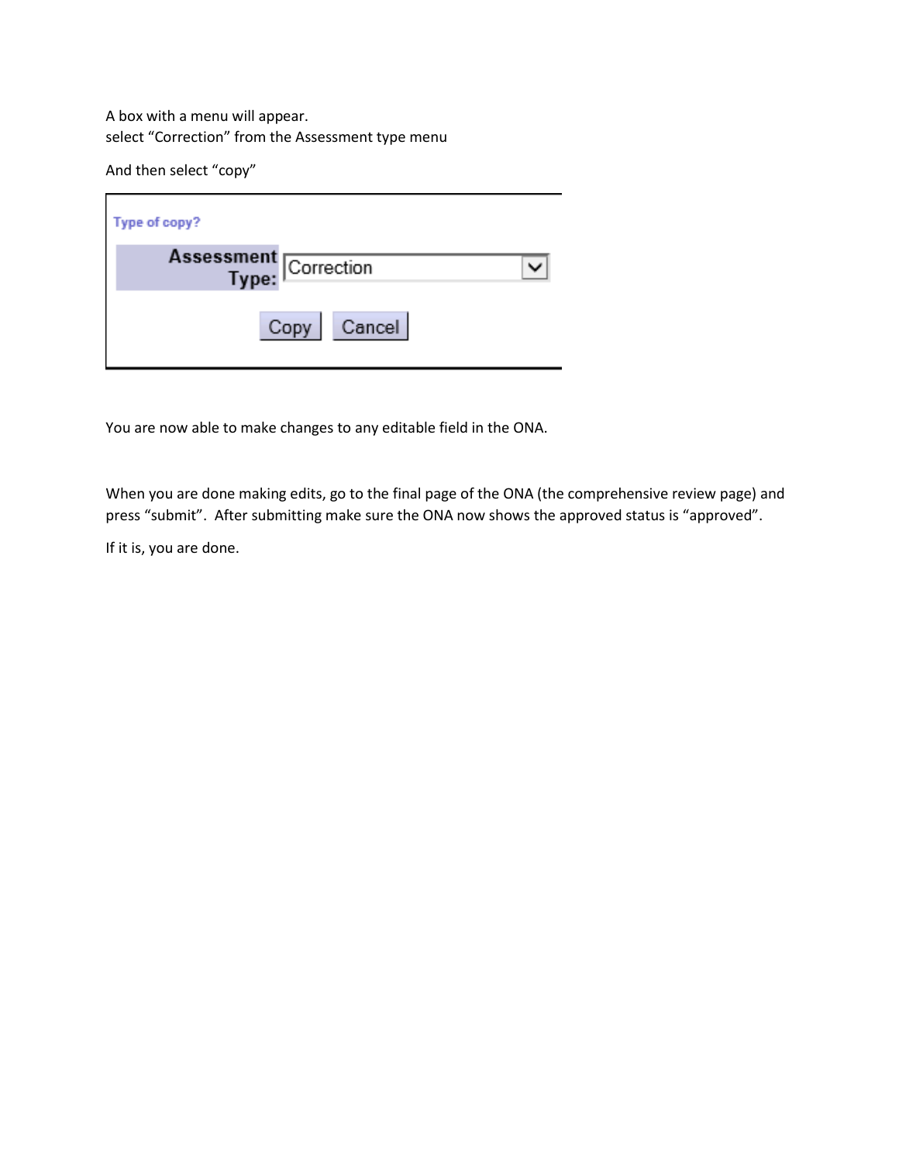A box with a menu will appear. select "Correction" from the Assessment type menu

And then select "copy"

| Type of copy?                  |
|--------------------------------|
| Assessment<br>Type: Correction |
| Cancel<br>Copy                 |

You are now able to make changes to any editable field in the ONA.

When you are done making edits, go to the final page of the ONA (the comprehensive review page) and press "submit". After submitting make sure the ONA now shows the approved status is "approved".

If it is, you are done.